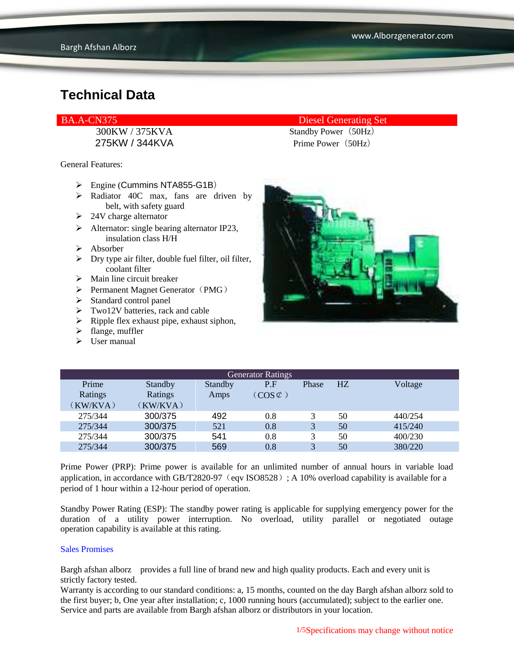300KW / 375KVA Standby Power(50Hz) 275KW / 344KVA Prime Power (50Hz)

General Features:

- $\triangleright$  Engine (Cummins NTA855-G1B)
- $\triangleright$  Radiator 40C max, fans are driven by belt, with safety guard
- $\geq$  24V charge alternator
- $\triangleright$  Alternator: single bearing alternator IP23, insulation class H/H
- Absorber
- $\triangleright$  Dry type air filter, double fuel filter, oil filter, coolant filter
- $\triangleright$  Main line circuit breaker
- $\triangleright$  Permanent Magnet Generator (PMG)
- $\triangleright$  Standard control panel
- $\triangleright$  Two12V batteries, rack and cable
- $\triangleright$  Ripple flex exhaust pipe, exhaust siphon,
- $\blacktriangleright$  flange, muffler
- $\triangleright$  User manual

#### BA.A-CN375 Diesel Generating Set



| <b>Generator Ratings</b> |                |                |                     |              |                |         |
|--------------------------|----------------|----------------|---------------------|--------------|----------------|---------|
| Prime                    | <b>Standby</b> | <b>Standby</b> | P.F                 | Phase        | H <sub>Z</sub> | Voltage |
| Ratings                  | Ratings        | Amps           | $(COS \mathcal{C})$ |              |                |         |
| (KW/KVA)                 | (KW/KVA)       |                |                     |              |                |         |
| 275/344                  | 300/375        | 492            | 0.8                 |              | 50             | 440/254 |
| 275/344                  | 300/375        | 521            | 0.8                 | 3            | 50             | 415/240 |
| 275/344                  | 300/375        | 541            | 0.8                 | 3            | 50             | 400/230 |
| 275/344                  | 300/375        | 569            | 0.8                 | $\mathbf{R}$ | 50             | 380/220 |

Prime Power (PRP): Prime power is available for an unlimited number of annual hours in variable load application, in accordance with GB/T2820-97 (eqv ISO8528); A 10% overload capability is available for a period of 1 hour within a 12-hour period of operation.

Standby Power Rating (ESP): The standby power rating is applicable for supplying emergency power for the duration of a utility power interruption. No overload, utility parallel or negotiated outage operation capability is available at this rating.

#### Sales Promises

Bargh afshan alborz provides a full line of brand new and high quality products. Each and every unit is strictly factory tested.

Warranty is according to our standard conditions: a, 15 months, counted on the day Bargh afshan alborz sold to the first buyer; b, One year after installation; c, 1000 running hours (accumulated); subject to the earlier one. Service and parts are available from Bargh afshan alborz or distributors in your location.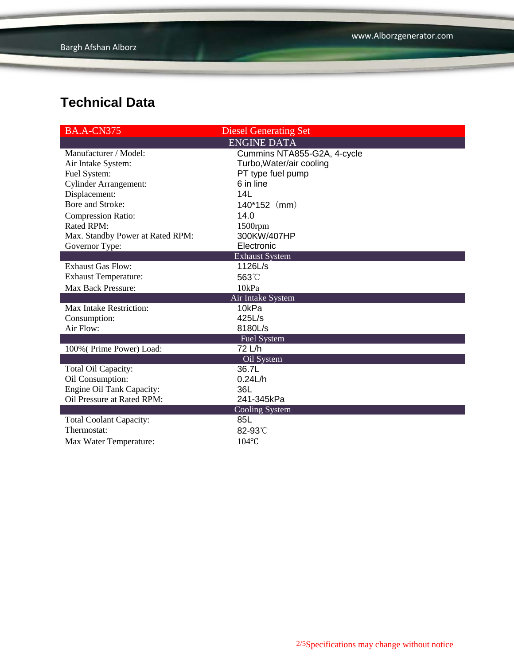| <b>BA.A-CN375</b>                | <b>Diesel Generating Set</b> |  |  |  |
|----------------------------------|------------------------------|--|--|--|
|                                  | <b>ENGINE DATA</b>           |  |  |  |
| Manufacturer / Model:            | Cummins NTA855-G2A, 4-cycle  |  |  |  |
| Air Intake System:               | Turbo, Water/air cooling     |  |  |  |
| Fuel System:                     | PT type fuel pump            |  |  |  |
| <b>Cylinder Arrangement:</b>     | 6 in line                    |  |  |  |
| Displacement:                    | 14L                          |  |  |  |
| Bore and Stroke:                 | 140*152 (mm)                 |  |  |  |
| <b>Compression Ratio:</b>        | 14.0                         |  |  |  |
| Rated RPM:                       | 1500rpm                      |  |  |  |
| Max. Standby Power at Rated RPM: | 300KW/407HP                  |  |  |  |
| Governor Type:                   | Electronic                   |  |  |  |
|                                  | <b>Exhaust System</b>        |  |  |  |
| <b>Exhaust Gas Flow:</b>         | 1126L/s                      |  |  |  |
| <b>Exhaust Temperature:</b>      | 563°C                        |  |  |  |
| Max Back Pressure:               | 10kPa                        |  |  |  |
| Air Intake System                |                              |  |  |  |
| Max Intake Restriction:          | 10kPa                        |  |  |  |
| Consumption:                     | 425L/s                       |  |  |  |
| Air Flow:                        | 8180L/s                      |  |  |  |
|                                  | <b>Fuel System</b>           |  |  |  |
| 100% (Prime Power) Load:         | 72 L/h                       |  |  |  |
|                                  | Oil System                   |  |  |  |
| Total Oil Capacity:              | 36.7L                        |  |  |  |
| Oil Consumption:                 | 0.24L/h                      |  |  |  |
| Engine Oil Tank Capacity:        | 36L                          |  |  |  |
| Oil Pressure at Rated RPM:       | 241-345kPa                   |  |  |  |
|                                  | <b>Cooling System</b>        |  |  |  |
| <b>Total Coolant Capacity:</b>   | 85L                          |  |  |  |
| Thermostat:                      | 82-93°C                      |  |  |  |
| Max Water Temperature:           | 104°C                        |  |  |  |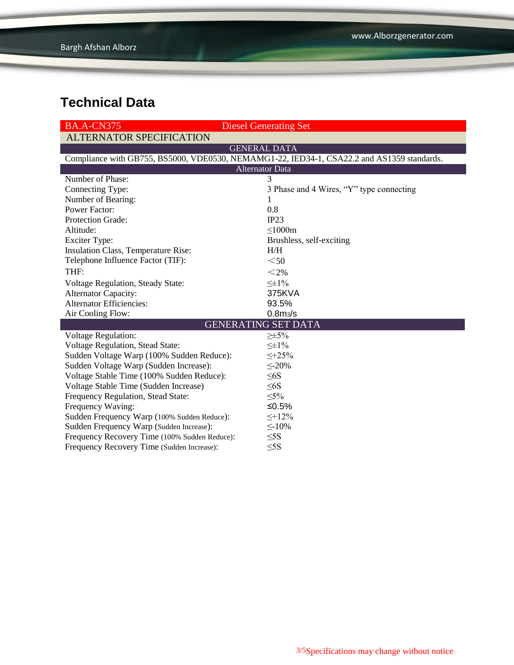| <b>BA.A-CN375</b>                             | <b>Diesel Generating Set</b>                                                               |  |  |  |  |
|-----------------------------------------------|--------------------------------------------------------------------------------------------|--|--|--|--|
| <b>ALTERNATOR SPECIFICATION</b>               |                                                                                            |  |  |  |  |
|                                               | <b>GENERAL DATA</b>                                                                        |  |  |  |  |
|                                               | Compliance with GB755, BS5000, VDE0530, NEMAMG1-22, IED34-1, CSA22.2 and AS1359 standards. |  |  |  |  |
| <b>Alternator Data</b>                        |                                                                                            |  |  |  |  |
| Number of Phase:                              | 3                                                                                          |  |  |  |  |
| Connecting Type:                              | 3 Phase and 4 Wires, "Y" type connecting                                                   |  |  |  |  |
| Number of Bearing:                            | T                                                                                          |  |  |  |  |
| <b>Power Factor:</b>                          | 0.8                                                                                        |  |  |  |  |
| Protection Grade:                             | IP23                                                                                       |  |  |  |  |
| Altitude:                                     | $\leq 1000m$                                                                               |  |  |  |  |
| <b>Exciter Type:</b>                          | Brushless, self-exciting                                                                   |  |  |  |  |
| Insulation Class, Temperature Rise:           | H/H                                                                                        |  |  |  |  |
| Telephone Influence Factor (TIF):             | $50$                                                                                       |  |  |  |  |
| THF:                                          | $<$ 2%                                                                                     |  |  |  |  |
| Voltage Regulation, Steady State:             | $\leq \pm 1\%$                                                                             |  |  |  |  |
| <b>Alternator Capacity:</b>                   | 375KVA                                                                                     |  |  |  |  |
| <b>Alternator Efficiencies:</b>               | 93.5%                                                                                      |  |  |  |  |
| Air Cooling Flow:                             | 0.8 <sub>m3</sub> /s                                                                       |  |  |  |  |
|                                               | <b>GENERATING SET DATA</b>                                                                 |  |  |  |  |
| <b>Voltage Regulation:</b>                    | $\geq \pm 5\%$                                                                             |  |  |  |  |
| <b>Voltage Regulation, Stead State:</b>       | $\leq \pm 1\%$                                                                             |  |  |  |  |
| Sudden Voltage Warp (100% Sudden Reduce):     | $\leq +25\%$                                                                               |  |  |  |  |
| Sudden Voltage Warp (Sudden Increase):        | $\leq$ -20%                                                                                |  |  |  |  |
| Voltage Stable Time (100% Sudden Reduce):     | $\leq 6S$                                                                                  |  |  |  |  |
| Voltage Stable Time (Sudden Increase)         | $\leq 6S$                                                                                  |  |  |  |  |
| Frequency Regulation, Stead State:            | $\leq 5\%$                                                                                 |  |  |  |  |
| Frequency Waving:                             | ≤ $0.5%$                                                                                   |  |  |  |  |
| Sudden Frequency Warp (100% Sudden Reduce):   | $\leq$ +12%                                                                                |  |  |  |  |
| Sudden Frequency Warp (Sudden Increase):      | $\leq$ -10%                                                                                |  |  |  |  |
| Frequency Recovery Time (100% Sudden Reduce): | $\leq$ 5S                                                                                  |  |  |  |  |
| Frequency Recovery Time (Sudden Increase):    | $\leq$ 5S                                                                                  |  |  |  |  |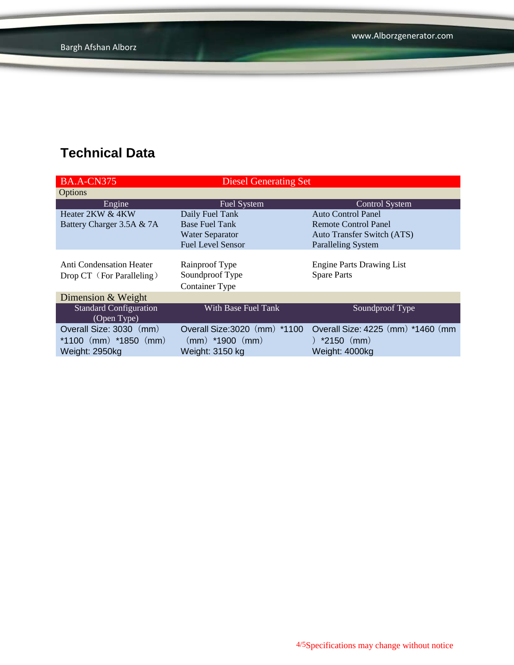| <b>BA.A-CN375</b>               | <b>Diesel Generating Set</b>  |                                    |
|---------------------------------|-------------------------------|------------------------------------|
| Options                         |                               |                                    |
| Engine                          | Fuel System                   | <b>Control System</b>              |
| Heater 2KW & 4KW                | Daily Fuel Tank               | <b>Auto Control Panel</b>          |
| Battery Charger 3.5A & 7A       | <b>Base Fuel Tank</b>         | Remote Control Panel               |
|                                 | <b>Water Separator</b>        | <b>Auto Transfer Switch (ATS)</b>  |
|                                 | <b>Fuel Level Sensor</b>      | <b>Paralleling System</b>          |
|                                 |                               |                                    |
| <b>Anti Condensation Heater</b> | Rainproof Type                | <b>Engine Parts Drawing List</b>   |
| Drop CT (For Paralleling)       | Soundproof Type               | <b>Spare Parts</b>                 |
|                                 | <b>Container Type</b>         |                                    |
| Dimension & Weight              |                               |                                    |
| <b>Standard Configuration</b>   | With Base Fuel Tank           | Soundproof Type                    |
| (Open Type)                     |                               |                                    |
| Overall Size: 3030 (mm)         | Overall Size: 3020 (mm) *1100 | Overall Size: 4225 (mm) *1460 (mm) |
| *1100 $(mm)$ *1850 $(mm)$       | $(mm)$ *1900 $(mm)$           | ) $*2150$ (mm)                     |
| Weight: 2950kg                  | Weight: 3150 kg               | Weight: 4000kg                     |